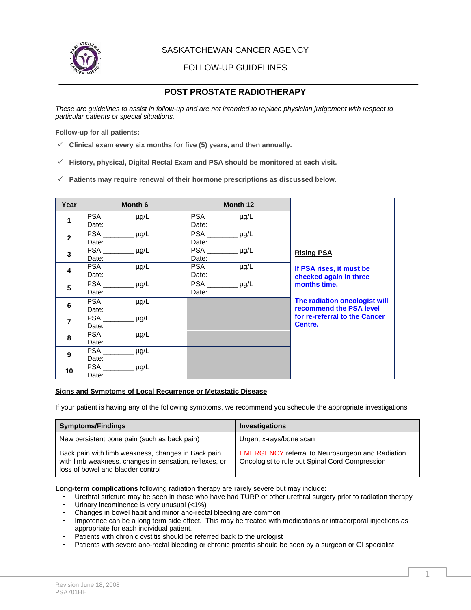

SASKATCHEWAN CANCER AGENCY

FOLLOW-UP GUIDELINES

# **POST PROSTATE RADIOTHERAPY**

*These are guidelines to assist in follow-up and are not intended to replace physician judgement with respect to particular patients or special situations.* 

#### **Follow-up for all patients:**

- $\checkmark$  Clinical exam every six months for five (5) years, and then annually.
- $\checkmark$  History, physical, Digital Rectal Exam and PSA should be monitored at each visit.
- $\checkmark$  Patients may require renewal of their hormone prescriptions as discussed below.

| Year             | Month 6                      | Month 12                |                               |
|------------------|------------------------------|-------------------------|-------------------------------|
| 1                |                              | PSA __________ µg/L     |                               |
|                  | Date:                        | Date:                   |                               |
| $\mathbf{2}$     |                              | <b>PSA</b><br>$\mu$ g/L |                               |
|                  | Date:                        | Date:                   |                               |
| 3                | PSA<br>$\mu$ g/L             | <b>PSA</b><br>$\mu$ g/L | <b>Rising PSA</b>             |
|                  | Date:                        | Date:                   |                               |
| 4                | <b>PSA</b><br>$\mu$ g/L      | PSA<br>$\mu$ g/L        | If PSA rises, it must be      |
|                  | Date:                        | Date:                   | checked again in three        |
| 5                | PSA __________ µg/L          | PSA __________ µg/L     | months time.                  |
|                  | Date:                        | Date:                   |                               |
| $6\phantom{1}6$  | <b>PSA</b><br>$\_\_\mu$ µg/L |                         | The radiation oncologist will |
|                  | Date:                        |                         | recommend the PSA level       |
| $\overline{7}$   | PSA<br>$\mu$ g/L             |                         | for re-referral to the Cancer |
|                  | Date:                        |                         | Centre.                       |
| 8                | <b>PSA</b><br>$\mu$ g/L      |                         |                               |
|                  | Date:                        |                         |                               |
| $\boldsymbol{9}$ | <b>PSA</b><br>$\mu$ g/L      |                         |                               |
|                  | Date:                        |                         |                               |
| 10               | PSA<br>$\mu$ g/L             |                         |                               |
|                  | Date:                        |                         |                               |

## **Signs and Symptoms of Local Recurrence or Metastatic Disease**

If your patient is having any of the following symptoms, we recommend you schedule the appropriate investigations:

| <b>Symptoms/Findings</b>                                                                                                                          | <b>Investigations</b>                                                                                     |
|---------------------------------------------------------------------------------------------------------------------------------------------------|-----------------------------------------------------------------------------------------------------------|
| New persistent bone pain (such as back pain)                                                                                                      | Urgent x-rays/bone scan                                                                                   |
| Back pain with limb weakness, changes in Back pain<br>with limb weakness, changes in sensation, reflexes, or<br>loss of bowel and bladder control | <b>EMERGENCY</b> referral to Neurosurgeon and Radiation<br>Oncologist to rule out Spinal Cord Compression |

**Long-term complications** following radiation therapy are rarely severe but may include:

- Urethral stricture may be seen in those who have had TURP or other urethral surgery prior to radiation therapy
- Urinary incontinence is very unusual (<1%)
- Changes in bowel habit and minor ano-rectal bleeding are common
- Impotence can be a long term side effect. This may be treated with medications or intracorporal injections as appropriate for each individual patient.
- Patients with chronic cystitis should be referred back to the urologist
- Patients with severe ano-rectal bleeding or chronic proctitis should be seen by a surgeon or GI specialist